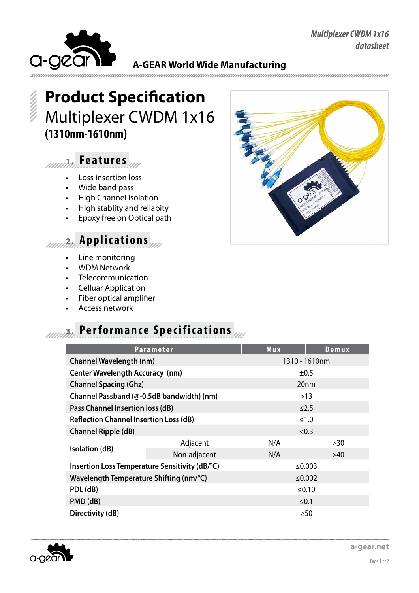

**A-GEAR World Wide Manufacturing**

# **Product Specification** Multiplexer CWDM 1x16 **(1310nm-1610nm)**

#### **1. Fe a t u r e s**

- • Loss insertion loss
- Wide band pass
- • High Channel Isolation
- • High stablity and reliabity
- Epoxy free on Optical path

### **2. Applications**

- • Line monitoring
- **WDM Network**
- **Telecommunication**
- • Celluar Application
- Fiber optical amplifier
- Access network

## **1000 Performance Specifications**

|                                                | <b>Parameter</b> | Mux              | Demux |
|------------------------------------------------|------------------|------------------|-------|
| <b>Channel Wavelength (nm)</b>                 |                  | 1310 - 1610nm    |       |
| <b>Center Wavelength Accuracy (nm)</b>         |                  | ±0.5             |       |
| <b>Channel Spacing (Ghz)</b>                   |                  | 20 <sub>nm</sub> |       |
| Channel Passband (@-0.5dB bandwidth) (nm)      |                  | $>13$            |       |
| Pass Channel Insertion loss (dB)               |                  | $\leq$ 2.5       |       |
| <b>Reflection Channel Insertion Loss (dB)</b>  |                  | $≤1.0$           |       |
| <b>Channel Ripple (dB)</b>                     |                  | < 0.3            |       |
|                                                | Adjacent         | N/A              | >30   |
| Isolation (dB)                                 | Non-adjacent     | N/A              | >40   |
| Insertion Loss Temperature Sensitivity (dB/°C) |                  | ≤0.003           |       |
| Wavelength Temperature Shifting (nm/°C)        |                  | ≤0.002           |       |
| PDL (dB)                                       |                  | ≤ $0.10$         |       |
| PMD (dB)                                       |                  | $≤0.1$           |       |
| Directivity (dB)                               |                  | $\geq 50$        |       |